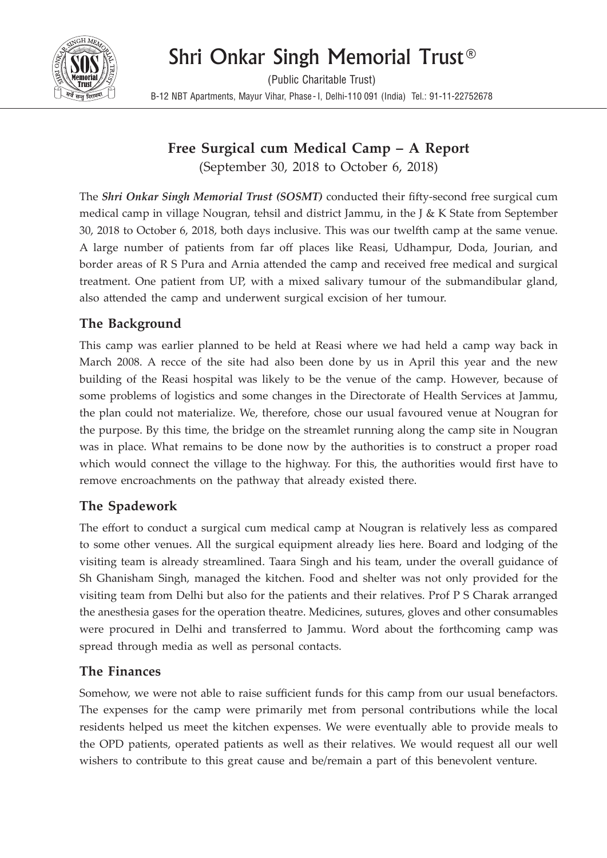# Shri Onkar Singh Memorial Trust®



(Public Charitable Trust) B-12 NBT Apartments, Mayur Vihar, Phase- I, Delhi-110 091 (India) Tel.: 91-11-22752678

# **Free Surgical cum Medical Camp – A Report**

(September 30, 2018 to October 6, 2018)

The *Shri Onkar Singh Memorial Trust (SOSMT)* conducted their fifty-second free surgical cum medical camp in village Nougran, tehsil and district Jammu, in the J & K State from September 30, 2018 to October 6, 2018, both days inclusive. This was our twelfth camp at the same venue. A large number of patients from far off places like Reasi, Udhampur, Doda, Jourian, and border areas of R S Pura and Arnia attended the camp and received free medical and surgical treatment. One patient from UP, with a mixed salivary tumour of the submandibular gland, also attended the camp and underwent surgical excision of her tumour.

# **The Background**

This camp was earlier planned to be held at Reasi where we had held a camp way back in March 2008. A recce of the site had also been done by us in April this year and the new building of the Reasi hospital was likely to be the venue of the camp. However, because of some problems of logistics and some changes in the Directorate of Health Services at Jammu, the plan could not materialize. We, therefore, chose our usual favoured venue at Nougran for the purpose. By this time, the bridge on the streamlet running along the camp site in Nougran was in place. What remains to be done now by the authorities is to construct a proper road which would connect the village to the highway. For this, the authorities would first have to remove encroachments on the pathway that already existed there.

## **The Spadework**

The effort to conduct a surgical cum medical camp at Nougran is relatively less as compared to some other venues. All the surgical equipment already lies here. Board and lodging of the visiting team is already streamlined. Taara Singh and his team, under the overall guidance of Sh Ghanisham Singh, managed the kitchen. Food and shelter was not only provided for the visiting team from Delhi but also for the patients and their relatives. Prof P S Charak arranged the anesthesia gases for the operation theatre. Medicines, sutures, gloves and other consumables were procured in Delhi and transferred to Jammu. Word about the forthcoming camp was spread through media as well as personal contacts.

## **The Finances**

Somehow, we were not able to raise sufficient funds for this camp from our usual benefactors. The expenses for the camp were primarily met from personal contributions while the local residents helped us meet the kitchen expenses. We were eventually able to provide meals to the OPD patients, operated patients as well as their relatives. We would request all our well wishers to contribute to this great cause and be/remain a part of this benevolent venture.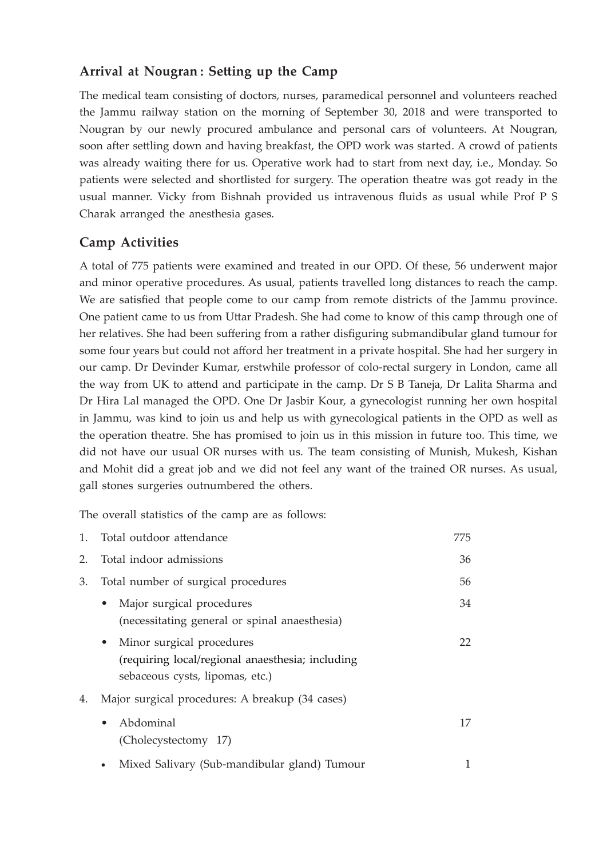#### **Arrival at Nougran : Setting up the Camp**

The medical team consisting of doctors, nurses, paramedical personnel and volunteers reached the Jammu railway station on the morning of September 30, 2018 and were transported to Nougran by our newly procured ambulance and personal cars of volunteers. At Nougran, soon after settling down and having breakfast, the OPD work was started. A crowd of patients was already waiting there for us. Operative work had to start from next day, i.e., Monday. So patients were selected and shortlisted for surgery. The operation theatre was got ready in the usual manner. Vicky from Bishnah provided us intravenous fluids as usual while Prof P S Charak arranged the anesthesia gases.

#### **Camp Activities**

A total of 775 patients were examined and treated in our OPD. Of these, 56 underwent major and minor operative procedures. As usual, patients travelled long distances to reach the camp. We are satisfied that people come to our camp from remote districts of the Jammu province. One patient came to us from Uttar Pradesh. She had come to know of this camp through one of her relatives. She had been suffering from a rather disfiguring submandibular gland tumour for some four years but could not afford her treatment in a private hospital. She had her surgery in our camp. Dr Devinder Kumar, erstwhile professor of colo-rectal surgery in London, came all the way from UK to attend and participate in the camp. Dr S B Taneja, Dr Lalita Sharma and Dr Hira Lal managed the OPD. One Dr Jasbir Kour, a gynecologist running her own hospital in Jammu, was kind to join us and help us with gynecological patients in the OPD as well as the operation theatre. She has promised to join us in this mission in future too. This time, we did not have our usual OR nurses with us. The team consisting of Munish, Mukesh, Kishan and Mohit did a great job and we did not feel any want of the trained OR nurses. As usual, gall stones surgeries outnumbered the others.

The overall statistics of the camp are as follows:

| 1. | Total outdoor attendance                                                                                           | 775 |
|----|--------------------------------------------------------------------------------------------------------------------|-----|
| 2. | Total indoor admissions                                                                                            | 36  |
| 3. | Total number of surgical procedures                                                                                | 56  |
|    | Major surgical procedures<br>$\bullet$<br>(necessitating general or spinal anaesthesia)                            | 34  |
|    | • Minor surgical procedures<br>(requiring local/regional anaesthesia; including<br>sebaceous cysts, lipomas, etc.) | 22  |
| 4. | Major surgical procedures: A breakup (34 cases)                                                                    |     |
|    | Abdominal<br>$\bullet$<br>(Cholecystectomy 17)                                                                     | 17  |
|    | Mixed Salivary (Sub-mandibular gland) Tumour<br>$\bullet$                                                          |     |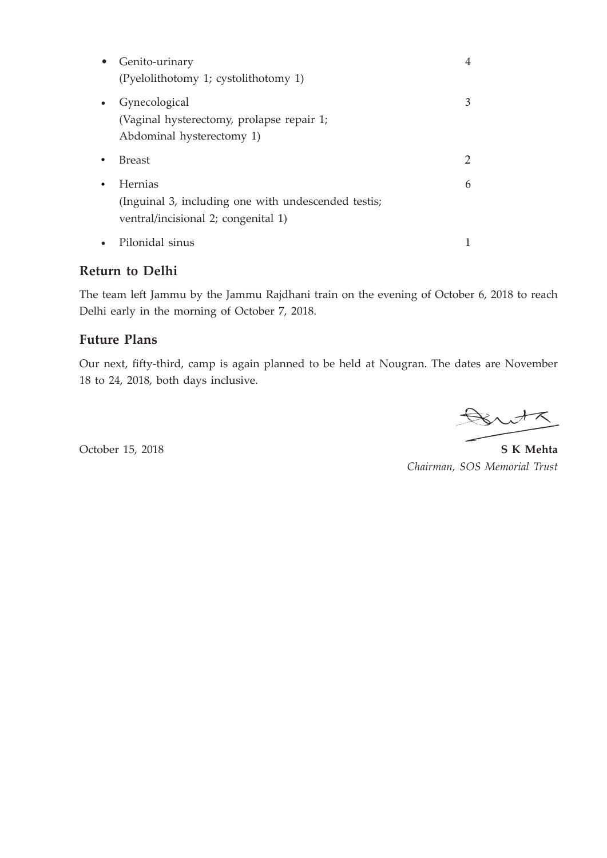| Genito-urinary<br>$\bullet$<br>(Pyelolithotomy 1; cystolithotomy 1)                                        | 4             |
|------------------------------------------------------------------------------------------------------------|---------------|
| Gynecological<br>$\bullet$<br>(Vaginal hysterectomy, prolapse repair 1;<br>Abdominal hysterectomy 1)       |               |
| <b>Breast</b>                                                                                              | $\mathcal{D}$ |
| Hernias<br>٠<br>(Inguinal 3, including one with undescended testis;<br>ventral/incisional 2; congenital 1) | 6             |
| Pilonidal sinus                                                                                            |               |

#### **Return to Delhi**

The team left Jammu by the Jammu Rajdhani train on the evening of October 6, 2018 to reach Delhi early in the morning of October 7, 2018.

#### **Future Plans**

Our next, fifty-third, camp is again planned to be held at Nougran. The dates are November 18 to 24, 2018, both days inclusive.

Britz

October 15, 2018 **S K Mehta**  *Chairman, SOS Memorial Trust*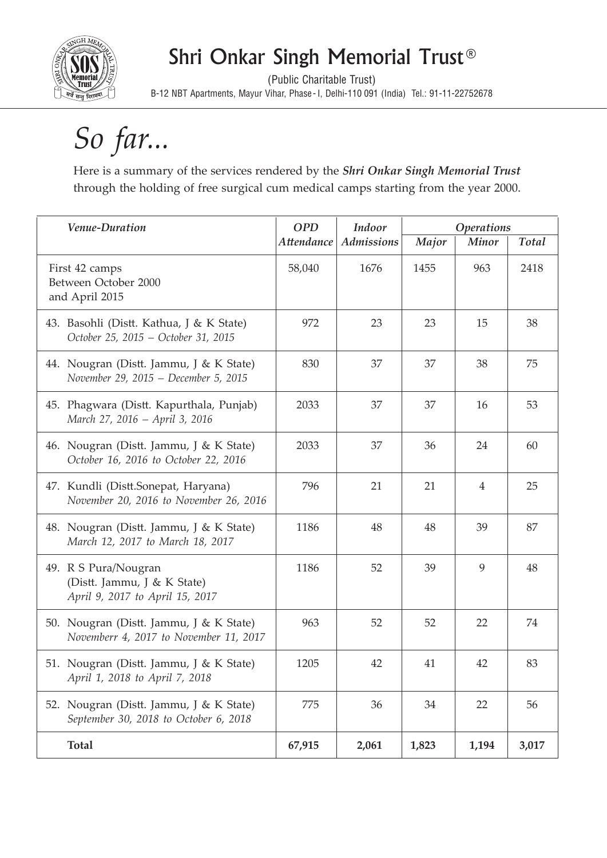

# Shri Onkar Singh Memorial Trust®

(Public Charitable Trust) B-12 NBT Apartments, Mayur Vihar, Phase- I, Delhi-110 091 (India) Tel.: 91-11-22752678

# *So far...*

Here is a summary of the services rendered by the *Shri Onkar Singh Memorial Trust*  through the holding of free surgical cum medical camps starting from the year 2000.

| Venue-Duration                                                                         | <b>OPD</b>        | Indoor            | <b>Operations</b> |                |              |
|----------------------------------------------------------------------------------------|-------------------|-------------------|-------------------|----------------|--------------|
|                                                                                        | <b>Attendance</b> | <b>Admissions</b> | Major             | Minor          | <b>Total</b> |
| First 42 camps<br>Between October 2000<br>and April 2015                               | 58,040            | 1676              | 1455              | 963            | 2418         |
| 43. Basohli (Distt. Kathua, J & K State)<br>October 25, 2015 - October 31, 2015        | 972               | 23                | 23                | 15             | 38           |
| 44. Nougran (Distt. Jammu, J & K State)<br>November 29, 2015 - December 5, 2015        | 830               | 37                | 37                | 38             | 75           |
| 45. Phagwara (Distt. Kapurthala, Punjab)<br>March 27, 2016 - April 3, 2016             | 2033              | 37                | 37                | 16             | 53           |
| 46. Nougran (Distt. Jammu, J & K State)<br>October 16, 2016 to October 22, 2016        | 2033              | 37                | 36                | 24             | 60           |
| 47. Kundli (Distt.Sonepat, Haryana)<br>November 20, 2016 to November 26, 2016          | 796               | 21                | 21                | $\overline{4}$ | 25           |
| 48. Nougran (Distt. Jammu, J & K State)<br>March 12, 2017 to March 18, 2017            | 1186              | 48                | 48                | 39             | 87           |
| 49. R S Pura/Nougran<br>(Distt. Jammu, J & K State)<br>April 9, 2017 to April 15, 2017 | 1186              | 52                | 39                | 9              | 48           |
| 50. Nougran (Distt. Jammu, J & K State)<br>Novemberr 4, 2017 to November 11, 2017      | 963               | 52                | 52                | 22             | 74           |
| 51. Nougran (Distt. Jammu, J & K State)<br>April 1, 2018 to April 7, 2018              | 1205              | 42                | 41                | 42             | 83           |
| 52. Nougran (Distt. Jammu, J & K State)<br>September 30, 2018 to October 6, 2018       | 775               | 36                | 34                | 22             | 56           |
| <b>Total</b>                                                                           | 67,915            | 2,061             | 1,823             | 1,194          | 3,017        |